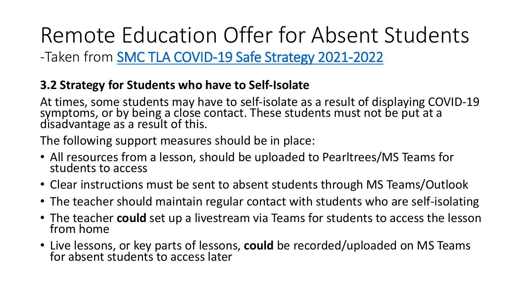Remote Education Offer for Absent Students -Taken from SMC [TLA COVID-19 Safe Strategy 2021-2022](https://www.stmarysblackburn.ac.uk/the-college/16-19-remote-education-offer/)

## **3.2 Strategy for Students who have to Self-Isolate**

At times, some students may have to self-isolate as a result of displaying COVID-19 symptoms, or by being a close contact. These students must not be put at a disadvantage as a result of this.

The following support measures should be in place:

- All resources from a lesson, should be uploaded to Pearltrees/MS Teams for students to access
- Clear instructions must be sent to absent students through MS Teams/Outlook
- The teacher should maintain regular contact with students who are self-isolating
- The teacher **could** set up a livestream via Teams for students to access the lesson from home
- Live lessons, or key parts of lessons, **could** be recorded/uploaded on MS Teams for absent students to access later